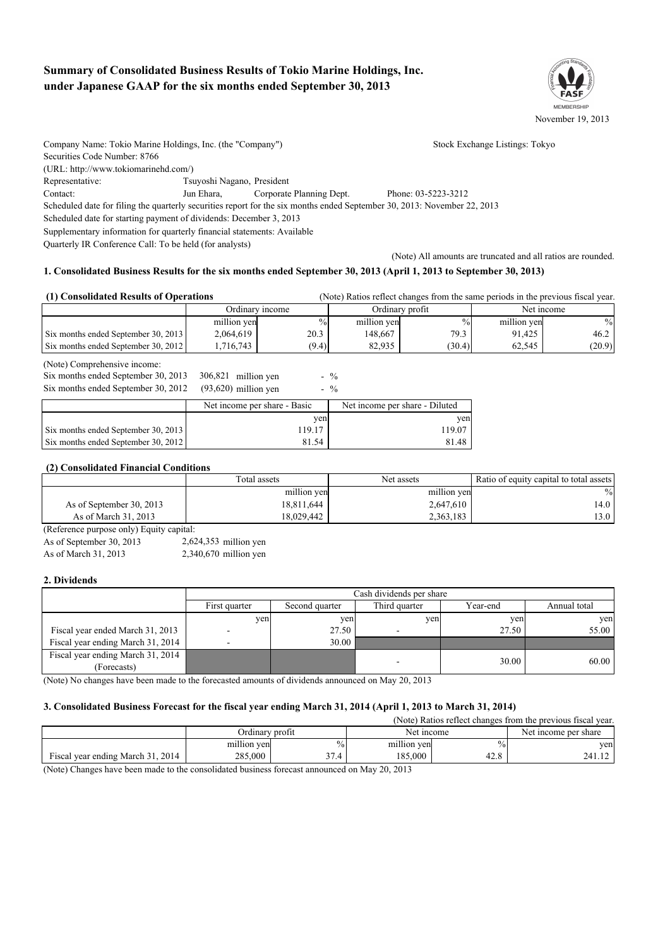# **Summary of Consolidated Business Results of Tokio Marine Holdings, Inc. under Japanese GAAP for the six months ended September 30, 2013**



| Company Name: Tokio Marine Holdings, Inc. (the "Company")               |                            |                          | Stock Exchange Listings: Tokyo                                                                                           |
|-------------------------------------------------------------------------|----------------------------|--------------------------|--------------------------------------------------------------------------------------------------------------------------|
| Securities Code Number: 8766                                            |                            |                          |                                                                                                                          |
| (URL: http://www.tokiomarinehd.com/)                                    |                            |                          |                                                                                                                          |
| Representative:                                                         | Tsuyoshi Nagano, President |                          |                                                                                                                          |
| Contact:                                                                | Jun Ehara.                 | Corporate Planning Dept. | Phone: 03-5223-3212                                                                                                      |
|                                                                         |                            |                          | Scheduled date for filing the quarterly securities report for the six months ended September 30, 2013: November 22, 2013 |
| Scheduled date for starting payment of dividends: December 3, 2013      |                            |                          |                                                                                                                          |
| Supplementary information for quarterly financial statements: Available |                            |                          |                                                                                                                          |
| Quarterly IR Conference Call: To be held (for analysts)                 |                            |                          |                                                                                                                          |
|                                                                         |                            |                          | (Note) All amounts are truncated and all ratios are rounded.                                                             |

## **1. Consolidated Business Results for the six months ended September 30, 2013 (April 1, 2013 to September 30, 2013)**

| (1) Consolidated Results of Operations<br>(Note) Ratios reflect changes from the same periods in the previous fiscal year. |                 |               |             |                 |             |            |
|----------------------------------------------------------------------------------------------------------------------------|-----------------|---------------|-------------|-----------------|-------------|------------|
|                                                                                                                            | Ordinary income |               |             | Ordinary profit |             | Net income |
|                                                                                                                            | million yen     | $\frac{0}{0}$ | million yen | $\%$            | million yen | $\%$       |
| Six months ended September 30, 2013                                                                                        | 2.064.619       | 20.3          | 148.667     | 79.3            | 91.425      | 46.2       |
| Six months ended September 30, 2012                                                                                        | .716.743        | (9.4)         | 82.935      | (30.4)          | 62.545      | (20.9)     |

(Note) Comprehensive income:

| Six months ended September 30, 2013<br>Six months ended September 30, 2012 | $306,821$ million yen<br>$(93,620)$ million yen | $-$ %<br>$-$ %                 |
|----------------------------------------------------------------------------|-------------------------------------------------|--------------------------------|
|                                                                            | Net income per share - Basic                    | Net income per share - Diluted |
|                                                                            | yen                                             | ven                            |
| Six months ended September 30, 2013                                        | 119.17                                          | 119.07                         |
| Six months ended September 30, 2012                                        | 81.54                                           | 81.48                          |

## **(2) Consolidated Financial Conditions**

|                          | Total assets | Net assets  | Ratio of equity capital to total assets |
|--------------------------|--------------|-------------|-----------------------------------------|
|                          | million yen  | million yen | $\%$                                    |
| As of September 30, 2013 | 18,811,644   | 2,647,610   | 14.0                                    |
| As of March 31, 2013     | 18.029.442   | 2,363,183   | 13.0                                    |

(Reference purpose only) Equity capital:

As of September 30, 2013 2,624,353 million yen

As of March 31, 2013 2,340,670 million yen

#### **2. Dividends**

|                                   | Cash dividends per share |                |                          |          |              |
|-----------------------------------|--------------------------|----------------|--------------------------|----------|--------------|
|                                   | First quarter            | Second quarter | Third quarter            | Year-end | Annual total |
|                                   | ven                      | yen            | ven                      | yen      | yen          |
| Fiscal year ended March 31, 2013  |                          | 27.50          | $\overline{\phantom{a}}$ | 27.50    | 55.00        |
| Fiscal year ending March 31, 2014 |                          | 30.00          |                          |          |              |
| Fiscal year ending March 31, 2014 |                          |                | -                        | 30.00    | 60.00        |
| (Forecasts)                       |                          |                |                          |          |              |

(Note) No changes have been made to the forecasted amounts of dividends announced on May 20, 2013

#### **3. Consolidated Business Forecast for the fiscal year ending March 31, 2014 (April 1, 2013 to March 31, 2014)**

|                                   |                 |               |             |      | (Note) Ratios reflect changes from the previous fiscal year. |
|-----------------------------------|-----------------|---------------|-------------|------|--------------------------------------------------------------|
|                                   | Ordinary profit |               | Net income  |      | Net income per share                                         |
|                                   | million yen     | $\frac{0}{0}$ | million ven | $\%$ | yen                                                          |
| Fiscal year ending March 31, 2014 | 285.000         | $\sim$        | 185.000     | 42.8 | 241.12                                                       |

(Note) Changes have been made to the consolidated business forecast announced on May 20, 2013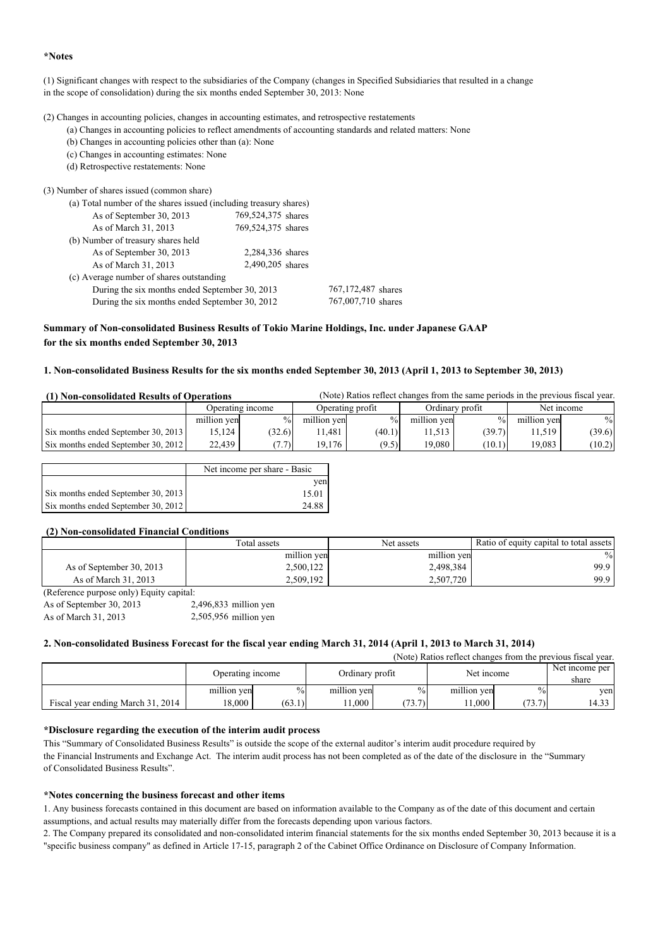#### **\*Notes**

(1) Significant changes with respect to the subsidiaries of the Company (changes in Specified Subsidiaries that resulted in a change in the scope of consolidation) during the six months ended September 30, 2013: None

(2) Changes in accounting policies, changes in accounting estimates, and retrospective restatements

- (a) Changes in accounting policies to reflect amendments of accounting standards and related matters: None
	- (b) Changes in accounting policies other than (a): None
- (c) Changes in accounting estimates: None
- (d) Retrospective restatements: None

#### (3) Number of shares issued (common share)

| (a) Total number of the shares issued (including treasury shares)    |                    |                    |  |
|----------------------------------------------------------------------|--------------------|--------------------|--|
| As of September 30, 2013                                             | 769,524,375 shares |                    |  |
| As of March 31, 2013                                                 | 769,524,375 shares |                    |  |
| (b) Number of treasury shares held                                   |                    |                    |  |
| As of September 30, 2013                                             | 2,284,336 shares   |                    |  |
| As of March 31, 2013                                                 | 2,490,205 shares   |                    |  |
| (c) Average number of shares outstanding                             |                    |                    |  |
| During the six months ended September 30, 2013                       |                    | 767,172,487 shares |  |
| 767,007,710 shares<br>During the six months ended September 30, 2012 |                    |                    |  |

## **Summary of Non-consolidated Business Results of Tokio Marine Holdings, Inc. under Japanese GAAP for the six months ended September 30, 2013**

## **1. Non-consolidated Business Results for the six months ended September 30, 2013 (April 1, 2013 to September 30, 2013)**

| (1) Non-consolidated Results of Operations |                  | (Note) Ratios reflect changes from the same periods in the previous fiscal year. |                  |               |                 |        |             |        |
|--------------------------------------------|------------------|----------------------------------------------------------------------------------|------------------|---------------|-----------------|--------|-------------|--------|
|                                            | Operating income |                                                                                  | Operating profit |               | Ordinary profit |        | Net income  |        |
|                                            | million yen      | $\%$                                                                             | million yen      | $\frac{0}{0}$ | million yen     | $\%$   | million yen | $\%$   |
| Six months ended September 30, 2013        | 15.124           | (32.6)                                                                           | 1.481            | (40.1)        | 11.513          | (39.7) | 11.519      | (39.6) |
| Six months ended September 30, 2012        | 22,439           | (7.7)                                                                            | 19.176           | (9.5)         | 19.080          | (10.1) | 19,083      | (10.2) |

|                                     | Net income per share - Basic |
|-------------------------------------|------------------------------|
|                                     | ven                          |
| Six months ended September 30, 2013 | 15.01                        |
| Six months ended September 30, 2012 | 24.88                        |

## **(2) Non-consolidated Financial Conditions**

|                          | Total assets | Net assets  | Ratio of equity capital to total assets |
|--------------------------|--------------|-------------|-----------------------------------------|
|                          | million yen  | million yen | $\%$                                    |
| As of September 30, 2013 | 2,500,122    | 2,498,384   | 99.9                                    |
| As of March 31, 2013     | 2,509,192    | 2,507,720   | 99.9                                    |

(Reference purpose only) Equity capital:

As of September 30, 2013 As of March 31, 2013 2,505,956 million yen 2,496,833 million yen

## **2. Non-consolidated Business Forecast for the fiscal year ending March 31, 2014 (April 1, 2013 to March 31, 2014)**

|                                   |                                |        |                 |                |             |               | (Note) Ratios reflect changes from the previous fiscal year. |
|-----------------------------------|--------------------------------|--------|-----------------|----------------|-------------|---------------|--------------------------------------------------------------|
|                                   | Net income<br>Operating income |        |                 | Net income per |             |               |                                                              |
|                                   |                                |        | Ordinary profit |                |             |               | share                                                        |
|                                   | million yen                    | $\%$   | million yen     | $\frac{0}{0}$  | million yen | $\frac{0}{0}$ | yen                                                          |
| Fiscal year ending March 31, 2014 | 18.000                         | (63.1) | 1.000           | 73.7<br>، ب    | 1.000       | (73.7)        | 14.33                                                        |

## **\*Disclosure regarding the execution of the interim audit process**

This "Summary of Consolidated Business Results" is outside the scope of the external auditor's interim audit procedure required by the Financial Instruments and Exchange Act. The interim audit process has not been completed as of the date of the disclosure in the "Summary of Consolidated Business Results".

## **\*Notes concerning the business forecast and other items**

1. Any business forecasts contained in this document are based on information available to the Company as of the date of this document and certain assumptions, and actual results may materially differ from the forecasts depending upon various factors.

2. The Company prepared its consolidated and non-consolidated interim financial statements for the six months ended September 30, 2013 because it is a "specific business company" as defined in Article 17-15, paragraph 2 of the Cabinet Office Ordinance on Disclosure of Company Information.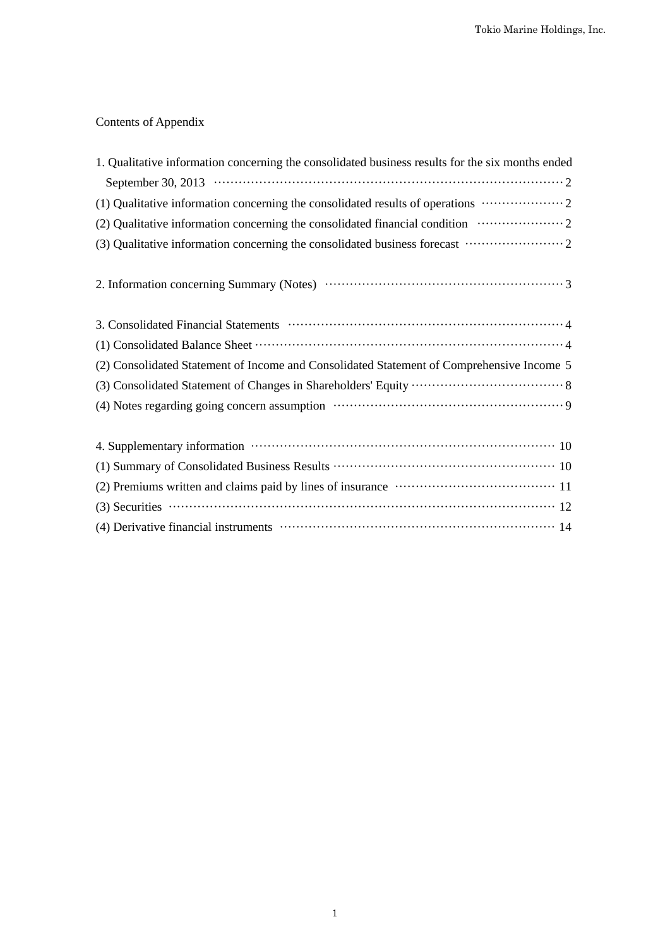# Contents of Appendix

| 1. Qualitative information concerning the consolidated business results for the six months ended                                                                                                                              |
|-------------------------------------------------------------------------------------------------------------------------------------------------------------------------------------------------------------------------------|
| September 30, 2013 $\cdots$ $\cdots$ $\cdots$ $\cdots$ $\cdots$ $\cdots$ $\cdots$ $\cdots$ $\cdots$ $\cdots$ $\cdots$ $\cdots$ $\cdots$ $\cdots$ $\cdots$                                                                     |
| (1) Qualitative information concerning the consolidated results of operations  2                                                                                                                                              |
|                                                                                                                                                                                                                               |
|                                                                                                                                                                                                                               |
|                                                                                                                                                                                                                               |
|                                                                                                                                                                                                                               |
|                                                                                                                                                                                                                               |
| (2) Consolidated Statement of Income and Consolidated Statement of Comprehensive Income 5                                                                                                                                     |
|                                                                                                                                                                                                                               |
|                                                                                                                                                                                                                               |
|                                                                                                                                                                                                                               |
|                                                                                                                                                                                                                               |
| (2) Premiums written and claims paid by lines of insurance manufactured and 11                                                                                                                                                |
| $(3)$ Securities $\cdots$ $\cdots$ $\cdots$ $\cdots$ $\cdots$ $\cdots$ $\cdots$ $\cdots$ $\cdots$ $\cdots$ $\cdots$ $\cdots$ $\cdots$ $\cdots$ $\cdots$ $\cdots$                                                              |
| (4) Derivative financial instruments (and the contract of the contract of the property of the contract of the contract of the contract of the contract of the contract of the contract of the contract of the contract of the |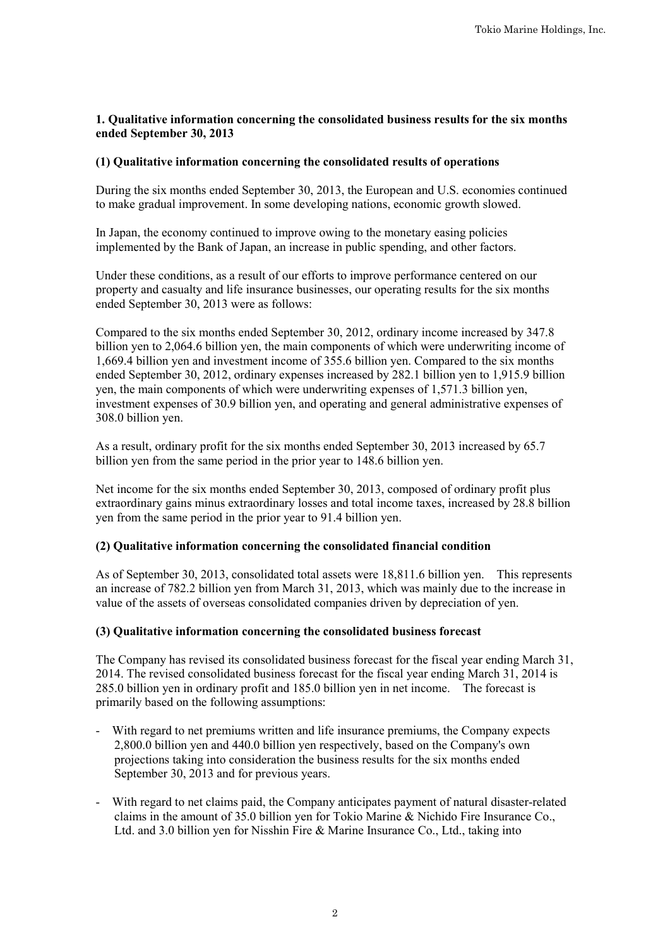# **1. Qualitative information concerning the consolidated business results for the six months ended September 30, 2013**

# **(1) Qualitative information concerning the consolidated results of operations**

During the six months ended September 30, 2013, the European and U.S. economies continued to make gradual improvement. In some developing nations, economic growth slowed.

In Japan, the economy continued to improve owing to the monetary easing policies implemented by the Bank of Japan, an increase in public spending, and other factors.

Under these conditions, as a result of our efforts to improve performance centered on our property and casualty and life insurance businesses, our operating results for the six months ended September 30, 2013 were as follows:

Compared to the six months ended September 30, 2012, ordinary income increased by 347.8 billion yen to 2,064.6 billion yen, the main components of which were underwriting income of 1,669.4 billion yen and investment income of 355.6 billion yen. Compared to the six months ended September 30, 2012, ordinary expenses increased by 282.1 billion yen to 1,915.9 billion yen, the main components of which were underwriting expenses of 1,571.3 billion yen, investment expenses of 30.9 billion yen, and operating and general administrative expenses of 308.0 billion yen.

As a result, ordinary profit for the six months ended September 30, 2013 increased by 65.7 billion yen from the same period in the prior year to 148.6 billion yen.

Net income for the six months ended September 30, 2013, composed of ordinary profit plus extraordinary gains minus extraordinary losses and total income taxes, increased by 28.8 billion yen from the same period in the prior year to 91.4 billion yen.

# **(2) Qualitative information concerning the consolidated financial condition**

As of September 30, 2013, consolidated total assets were 18,811.6 billion yen. This represents an increase of 782.2 billion yen from March 31, 2013, which was mainly due to the increase in value of the assets of overseas consolidated companies driven by depreciation of yen.

# **(3) Qualitative information concerning the consolidated business forecast**

The Company has revised its consolidated business forecast for the fiscal year ending March 31, 2014. The revised consolidated business forecast for the fiscal year ending March 31, 2014 is 285.0 billion yen in ordinary profit and 185.0 billion yen in net income. The forecast is primarily based on the following assumptions:

- With regard to net premiums written and life insurance premiums, the Company expects 2,800.0 billion yen and 440.0 billion yen respectively, based on the Company's own projections taking into consideration the business results for the six months ended September 30, 2013 and for previous years.
- With regard to net claims paid, the Company anticipates payment of natural disaster-related claims in the amount of 35.0 billion yen for Tokio Marine & Nichido Fire Insurance Co., Ltd. and 3.0 billion yen for Nisshin Fire & Marine Insurance Co., Ltd., taking into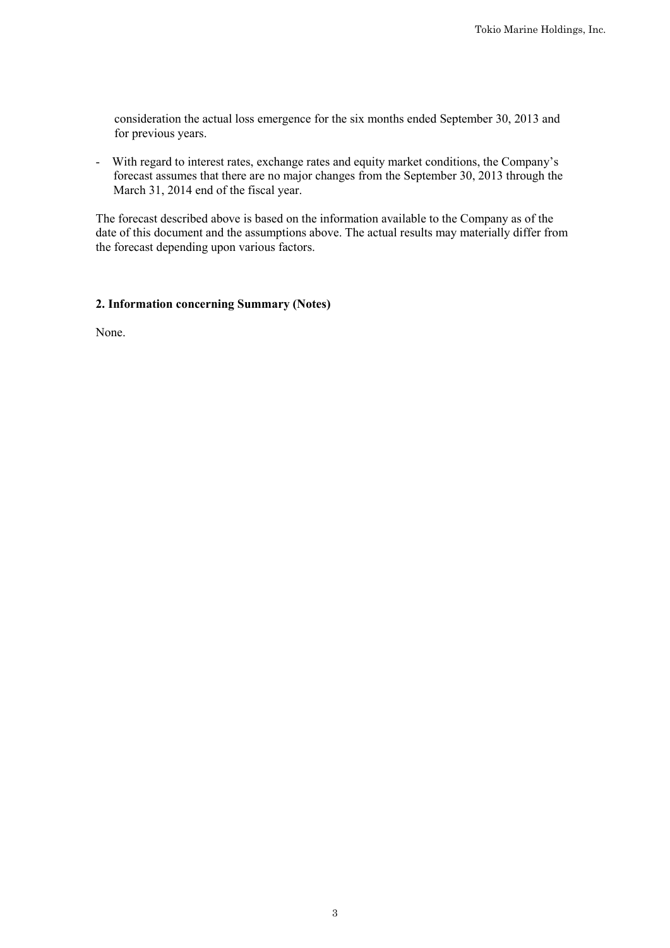consideration the actual loss emergence for the six months ended September 30, 2013 and for previous years.

- With regard to interest rates, exchange rates and equity market conditions, the Company's forecast assumes that there are no major changes from the September 30, 2013 through the March 31, 2014 end of the fiscal year.

The forecast described above is based on the information available to the Company as of the date of this document and the assumptions above. The actual results may materially differ from the forecast depending upon various factors.

# **2. Information concerning Summary (Notes)**

None.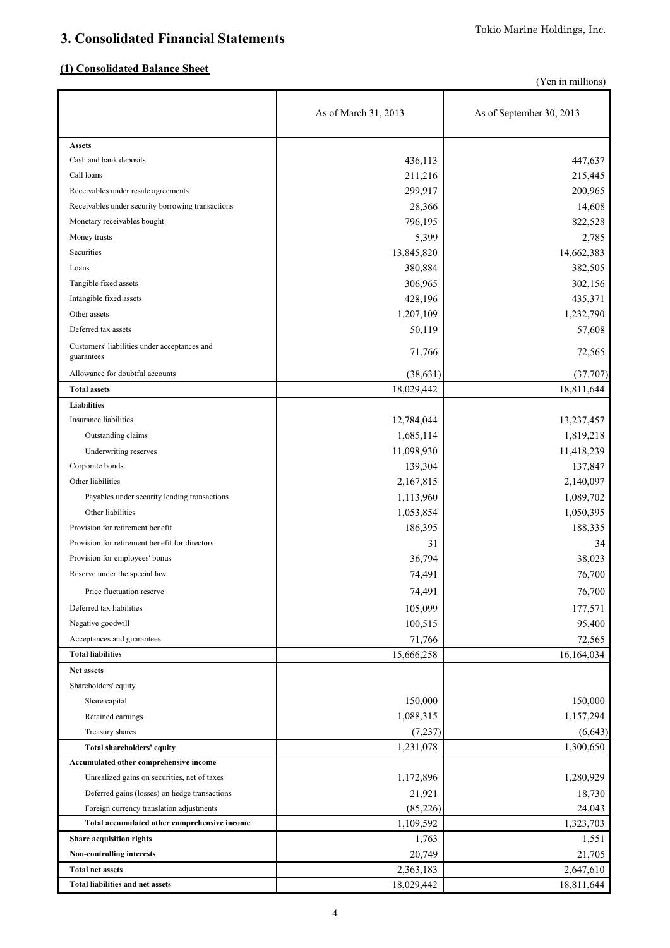# **3. Consolidated Financial Statements**

# **(1) Consolidated Balance Sheet**

(Yen in millions)

|                                                   | As of March 31, 2013 | As of September 30, 2013 |
|---------------------------------------------------|----------------------|--------------------------|
| <b>Assets</b>                                     |                      |                          |
| Cash and bank deposits                            | 436,113              | 447,637                  |
| Call loans                                        | 211,216              | 215,445                  |
| Receivables under resale agreements               | 299,917              | 200,965                  |
| Receivables under security borrowing transactions | 28,366               | 14,608                   |
| Monetary receivables bought                       | 796,195              | 822,528                  |
| Money trusts                                      | 5,399                | 2,785                    |
| Securities                                        | 13,845,820           | 14,662,383               |
| Loans                                             | 380,884              | 382,505                  |
| Tangible fixed assets                             | 306,965              | 302,156                  |
| Intangible fixed assets                           | 428,196              | 435,371                  |
| Other assets                                      | 1,207,109            | 1,232,790                |
| Deferred tax assets                               | 50,119               | 57,608                   |
| Customers' liabilities under acceptances and      |                      |                          |
| guarantees                                        | 71,766               | 72,565                   |
| Allowance for doubtful accounts                   | (38, 631)            | (37,707)                 |
| <b>Total assets</b>                               | 18,029,442           | 18,811,644               |
| <b>Liabilities</b>                                |                      |                          |
| Insurance liabilities                             | 12,784,044           | 13,237,457               |
| Outstanding claims                                | 1,685,114            | 1,819,218                |
| Underwriting reserves                             | 11,098,930           | 11,418,239               |
| Corporate bonds                                   | 139,304              | 137,847                  |
| Other liabilities                                 | 2,167,815            | 2,140,097                |
| Payables under security lending transactions      | 1,113,960            | 1,089,702                |
| Other liabilities                                 | 1,053,854            | 1,050,395                |
| Provision for retirement benefit                  | 186,395              | 188,335                  |
| Provision for retirement benefit for directors    | 31                   | 34                       |
| Provision for employees' bonus                    | 36,794               | 38,023                   |
| Reserve under the special law                     | 74,491               | 76,700                   |
| Price fluctuation reserve                         | 74,491               | 76,700                   |
| Deferred tax liabilities                          | 105,099              | 177,571                  |
| Negative goodwill                                 | 100,515              | 95,400                   |
| Acceptances and guarantees                        | 71,766               | 72,565                   |
| <b>Total liabilities</b>                          | 15,666,258           | 16,164,034               |
| Net assets                                        |                      |                          |
| Shareholders' equity                              |                      |                          |
| Share capital                                     | 150,000              | 150,000                  |
| Retained earnings                                 | 1,088,315            | 1,157,294                |
| Treasury shares                                   | (7,237)              | (6, 643)                 |
| Total shareholders' equity                        | 1,231,078            | 1,300,650                |
| Accumulated other comprehensive income            |                      |                          |
| Unrealized gains on securities, net of taxes      | 1,172,896            | 1,280,929                |
| Deferred gains (losses) on hedge transactions     | 21,921               | 18,730                   |
| Foreign currency translation adjustments          | (85, 226)            | 24,043                   |
| Total accumulated other comprehensive income      | 1,109,592            | 1,323,703                |
| Share acquisition rights                          | 1,763                | 1,551                    |
| Non-controlling interests                         | 20,749               | 21,705                   |
| <b>Total net assets</b>                           | 2,363,183            | 2,647,610                |
| <b>Total liabilities and net assets</b>           | 18,029,442           | 18,811,644               |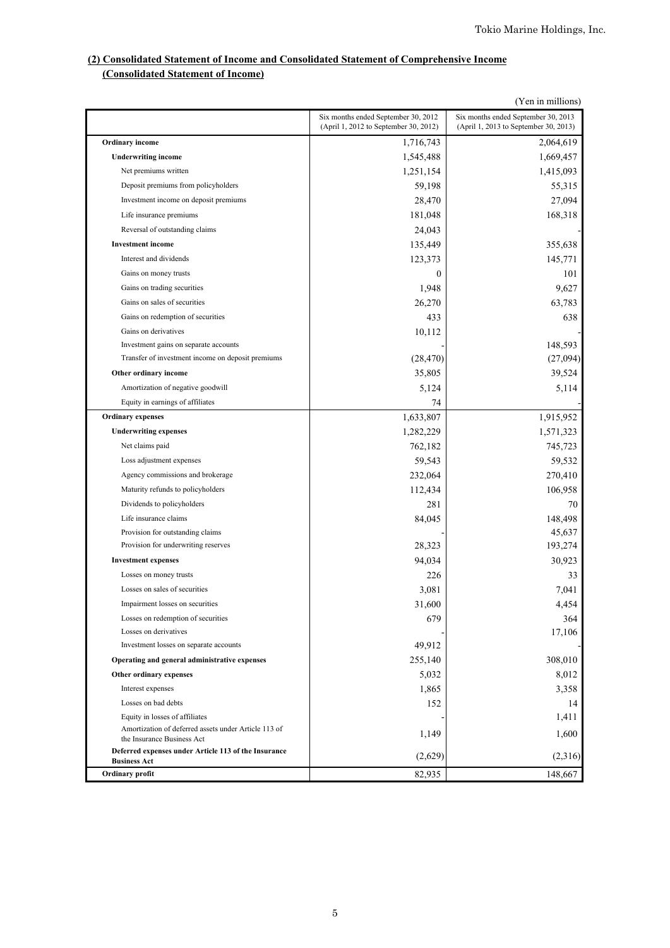# **(2) Consolidated Statement of Income and Consolidated Statement of Comprehensive Income (Consolidated Statement of Income)**

|                                                                                    | (Yen in millions)                                                            |                                                                              |  |  |  |
|------------------------------------------------------------------------------------|------------------------------------------------------------------------------|------------------------------------------------------------------------------|--|--|--|
|                                                                                    | Six months ended September 30, 2012<br>(April 1, 2012 to September 30, 2012) | Six months ended September 30, 2013<br>(April 1, 2013 to September 30, 2013) |  |  |  |
| <b>Ordinary income</b>                                                             | 1,716,743                                                                    | 2,064,619                                                                    |  |  |  |
| <b>Underwriting income</b>                                                         | 1,545,488                                                                    | 1,669,457                                                                    |  |  |  |
| Net premiums written                                                               | 1,251,154                                                                    | 1,415,093                                                                    |  |  |  |
| Deposit premiums from policyholders                                                | 59,198                                                                       | 55,315                                                                       |  |  |  |
| Investment income on deposit premiums                                              | 28,470                                                                       | 27,094                                                                       |  |  |  |
| Life insurance premiums                                                            | 181,048                                                                      | 168,318                                                                      |  |  |  |
| Reversal of outstanding claims                                                     | 24,043                                                                       |                                                                              |  |  |  |
| <b>Investment</b> income                                                           | 135,449                                                                      | 355,638                                                                      |  |  |  |
| Interest and dividends                                                             | 123,373                                                                      | 145,771                                                                      |  |  |  |
| Gains on money trusts                                                              |                                                                              |                                                                              |  |  |  |
|                                                                                    | $\theta$                                                                     | 101                                                                          |  |  |  |
| Gains on trading securities                                                        | 1,948                                                                        | 9,627                                                                        |  |  |  |
| Gains on sales of securities                                                       | 26,270                                                                       | 63,783                                                                       |  |  |  |
| Gains on redemption of securities                                                  | 433                                                                          | 638                                                                          |  |  |  |
| Gains on derivatives                                                               | 10,112                                                                       |                                                                              |  |  |  |
| Investment gains on separate accounts                                              |                                                                              | 148,593                                                                      |  |  |  |
| Transfer of investment income on deposit premiums                                  | (28, 470)                                                                    | (27,094)                                                                     |  |  |  |
| Other ordinary income                                                              | 35,805                                                                       | 39,524                                                                       |  |  |  |
| Amortization of negative goodwill                                                  | 5,124                                                                        | 5,114                                                                        |  |  |  |
| Equity in earnings of affiliates                                                   | 74                                                                           |                                                                              |  |  |  |
| <b>Ordinary expenses</b>                                                           | 1,633,807                                                                    | 1,915,952                                                                    |  |  |  |
| <b>Underwriting expenses</b>                                                       | 1,282,229                                                                    | 1,571,323                                                                    |  |  |  |
| Net claims paid                                                                    | 762,182                                                                      | 745,723                                                                      |  |  |  |
| Loss adjustment expenses                                                           | 59,543                                                                       | 59,532                                                                       |  |  |  |
| Agency commissions and brokerage                                                   | 232,064                                                                      | 270,410                                                                      |  |  |  |
| Maturity refunds to policyholders                                                  | 112,434                                                                      | 106,958                                                                      |  |  |  |
| Dividends to policyholders                                                         | 281                                                                          | 70                                                                           |  |  |  |
| Life insurance claims                                                              | 84,045                                                                       | 148,498                                                                      |  |  |  |
| Provision for outstanding claims                                                   |                                                                              | 45,637                                                                       |  |  |  |
| Provision for underwriting reserves                                                | 28,323                                                                       | 193,274                                                                      |  |  |  |
| <b>Investment expenses</b>                                                         | 94,034                                                                       | 30,923                                                                       |  |  |  |
| Losses on money trusts                                                             | 226                                                                          | 33                                                                           |  |  |  |
| Losses on sales of securities                                                      | 3,081                                                                        | 7,041                                                                        |  |  |  |
| Impairment losses on securities                                                    | 31,600                                                                       | 4,454                                                                        |  |  |  |
| Losses on redemption of securities                                                 | 679                                                                          | 364                                                                          |  |  |  |
| Losses on derivatives                                                              |                                                                              | 17,106                                                                       |  |  |  |
| Investment losses on separate accounts                                             | 49,912                                                                       |                                                                              |  |  |  |
| Operating and general administrative expenses                                      | 255,140                                                                      | 308,010                                                                      |  |  |  |
| Other ordinary expenses                                                            | 5,032                                                                        | 8,012                                                                        |  |  |  |
| Interest expenses                                                                  | 1,865                                                                        | 3,358                                                                        |  |  |  |
| Losses on bad debts                                                                | 152                                                                          | 14                                                                           |  |  |  |
| Equity in losses of affiliates                                                     |                                                                              | 1,411                                                                        |  |  |  |
| Amortization of deferred assets under Article 113 of<br>the Insurance Business Act | 1,149                                                                        | 1,600                                                                        |  |  |  |
| Deferred expenses under Article 113 of the Insurance<br><b>Business Act</b>        | (2,629)                                                                      | (2,316)                                                                      |  |  |  |
| Ordinary profit                                                                    | 82,935                                                                       | 148,667                                                                      |  |  |  |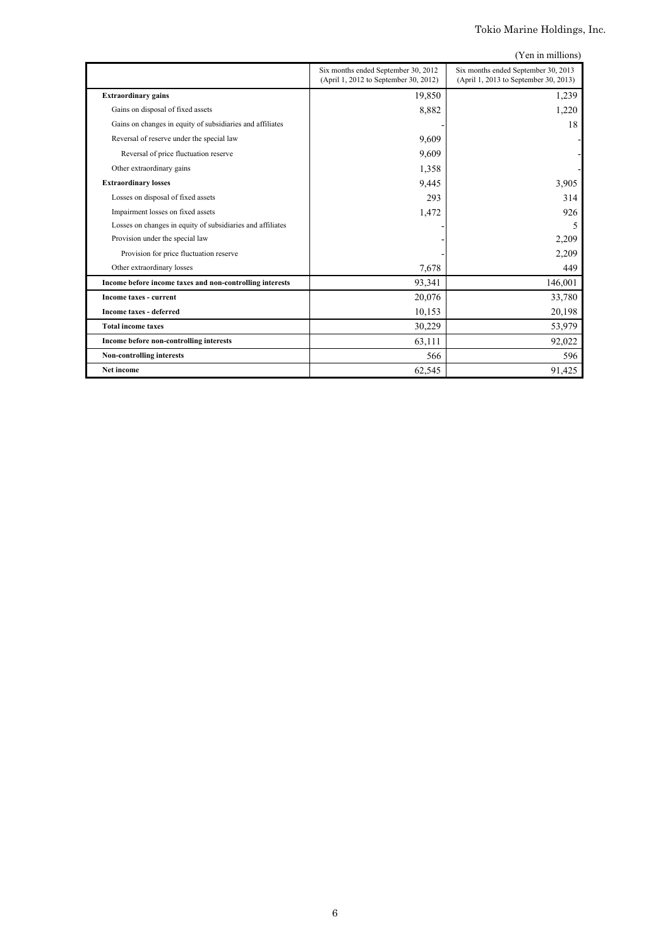|  | (Yen in millions) |
|--|-------------------|

|                                                            | Six months ended September 30, 2012   | Six months ended September 30, 2013   |
|------------------------------------------------------------|---------------------------------------|---------------------------------------|
|                                                            | (April 1, 2012 to September 30, 2012) | (April 1, 2013 to September 30, 2013) |
| <b>Extraordinary gains</b>                                 | 19,850                                | 1,239                                 |
| Gains on disposal of fixed assets                          | 8,882                                 | 1,220                                 |
| Gains on changes in equity of subsidiaries and affiliates  |                                       | 18                                    |
| Reversal of reserve under the special law                  | 9,609                                 |                                       |
| Reversal of price fluctuation reserve                      | 9,609                                 |                                       |
| Other extraordinary gains                                  | 1,358                                 |                                       |
| <b>Extraordinary losses</b>                                | 9,445                                 | 3,905                                 |
| Losses on disposal of fixed assets                         | 293                                   | 314                                   |
| Impairment losses on fixed assets                          | 1,472                                 | 926                                   |
| Losses on changes in equity of subsidiaries and affiliates |                                       | 5                                     |
| Provision under the special law                            |                                       | 2,209                                 |
| Provision for price fluctuation reserve                    |                                       | 2,209                                 |
| Other extraordinary losses                                 | 7,678                                 | 449                                   |
| Income before income taxes and non-controlling interests   | 93,341                                | 146,001                               |
| <b>Income taxes - current</b>                              | 20,076                                | 33,780                                |
| <b>Income taxes - deferred</b>                             | 10,153                                | 20,198                                |
| <b>Total income taxes</b>                                  | 30,229                                | 53,979                                |
| Income before non-controlling interests                    | 63,111                                | 92,022                                |
| <b>Non-controlling interests</b>                           | 566                                   | 596                                   |
| <b>Net income</b>                                          | 62,545                                | 91,425                                |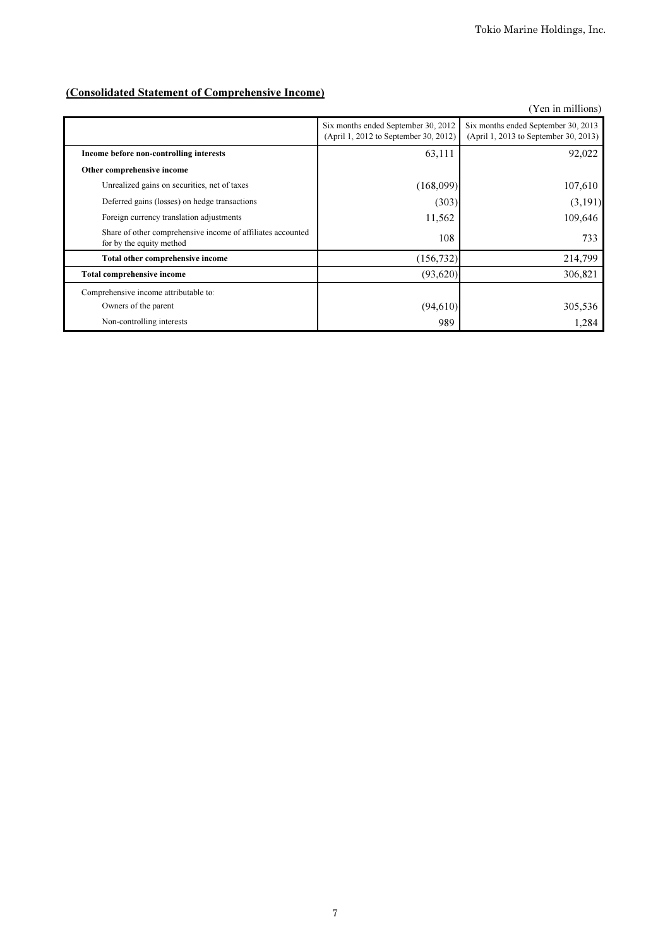# (Consolidated Statement of Comprehensive Income)

|                                                                                         |                                                                              | (Yen in millions)                                                            |
|-----------------------------------------------------------------------------------------|------------------------------------------------------------------------------|------------------------------------------------------------------------------|
|                                                                                         | Six months ended September 30, 2012<br>(April 1, 2012 to September 30, 2012) | Six months ended September 30, 2013<br>(April 1, 2013 to September 30, 2013) |
| Income before non-controlling interests                                                 | 63,111                                                                       | 92,022                                                                       |
| Other comprehensive income                                                              |                                                                              |                                                                              |
| Unrealized gains on securities, net of taxes                                            | (168,099)                                                                    | 107,610                                                                      |
| Deferred gains (losses) on hedge transactions                                           | (303)                                                                        | (3,191)                                                                      |
| Foreign currency translation adjustments                                                | 11,562                                                                       | 109,646                                                                      |
| Share of other comprehensive income of affiliates accounted<br>for by the equity method | 108                                                                          | 733                                                                          |
| Total other comprehensive income                                                        | (156, 732)                                                                   | 214,799                                                                      |
| <b>Total comprehensive income</b>                                                       | (93,620)                                                                     | 306,821                                                                      |
| Comprehensive income attributable to:                                                   |                                                                              |                                                                              |
| Owners of the parent                                                                    | (94, 610)                                                                    | 305,536                                                                      |
| Non-controlling interests                                                               | 989                                                                          | 1,284                                                                        |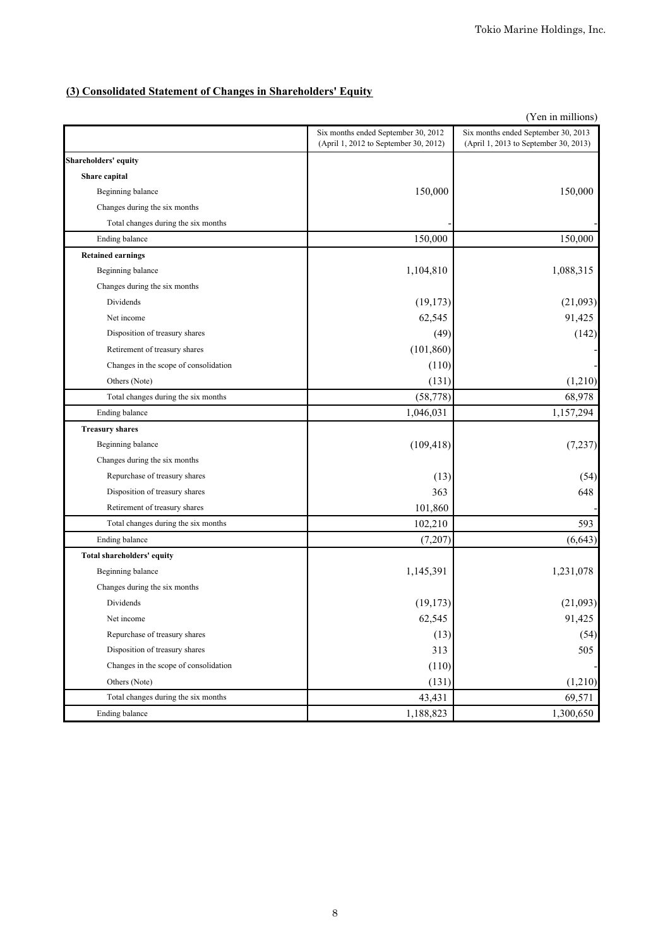# **(3) Consolidated Statement of Changes in Shareholders' Equity**

|                                       |                                                                              | (Yen in millions)                                                            |
|---------------------------------------|------------------------------------------------------------------------------|------------------------------------------------------------------------------|
|                                       | Six months ended September 30, 2012<br>(April 1, 2012 to September 30, 2012) | Six months ended September 30, 2013<br>(April 1, 2013 to September 30, 2013) |
| <b>Shareholders' equity</b>           |                                                                              |                                                                              |
| Share capital                         |                                                                              |                                                                              |
| Beginning balance                     | 150,000                                                                      | 150,000                                                                      |
| Changes during the six months         |                                                                              |                                                                              |
| Total changes during the six months   |                                                                              |                                                                              |
| Ending balance                        | 150,000                                                                      | 150,000                                                                      |
| <b>Retained earnings</b>              |                                                                              |                                                                              |
| Beginning balance                     | 1,104,810                                                                    | 1,088,315                                                                    |
| Changes during the six months         |                                                                              |                                                                              |
| Dividends                             | (19, 173)                                                                    | (21,093)                                                                     |
| Net income                            | 62,545                                                                       | 91,425                                                                       |
| Disposition of treasury shares        | (49)                                                                         | (142)                                                                        |
| Retirement of treasury shares         | (101, 860)                                                                   |                                                                              |
| Changes in the scope of consolidation | (110)                                                                        |                                                                              |
| Others (Note)                         | (131)                                                                        | (1,210)                                                                      |
| Total changes during the six months   | (58, 778)                                                                    | 68,978                                                                       |
| Ending balance                        | 1,046,031                                                                    | 1,157,294                                                                    |
| <b>Treasury shares</b>                |                                                                              |                                                                              |
| Beginning balance                     | (109, 418)                                                                   | (7, 237)                                                                     |
| Changes during the six months         |                                                                              |                                                                              |
| Repurchase of treasury shares         | (13)                                                                         | (54)                                                                         |
| Disposition of treasury shares        | 363                                                                          | 648                                                                          |
| Retirement of treasury shares         | 101,860                                                                      |                                                                              |
| Total changes during the six months   | 102,210                                                                      | 593                                                                          |
| Ending balance                        | (7,207)                                                                      | (6, 643)                                                                     |
| <b>Total shareholders' equity</b>     |                                                                              |                                                                              |
| Beginning balance                     | 1,145,391                                                                    | 1,231,078                                                                    |
| Changes during the six months         |                                                                              |                                                                              |
| Dividends                             | (19, 173)                                                                    | (21,093)                                                                     |
| Net income                            | 62,545                                                                       | 91,425                                                                       |
| Repurchase of treasury shares         | (13)                                                                         | (54)                                                                         |
| Disposition of treasury shares        | 313                                                                          | 505                                                                          |
| Changes in the scope of consolidation | (110)                                                                        |                                                                              |
| Others (Note)                         | (131)                                                                        | (1,210)                                                                      |
| Total changes during the six months   | 43,431                                                                       | 69,571                                                                       |
| Ending balance                        | 1,188,823                                                                    | 1,300,650                                                                    |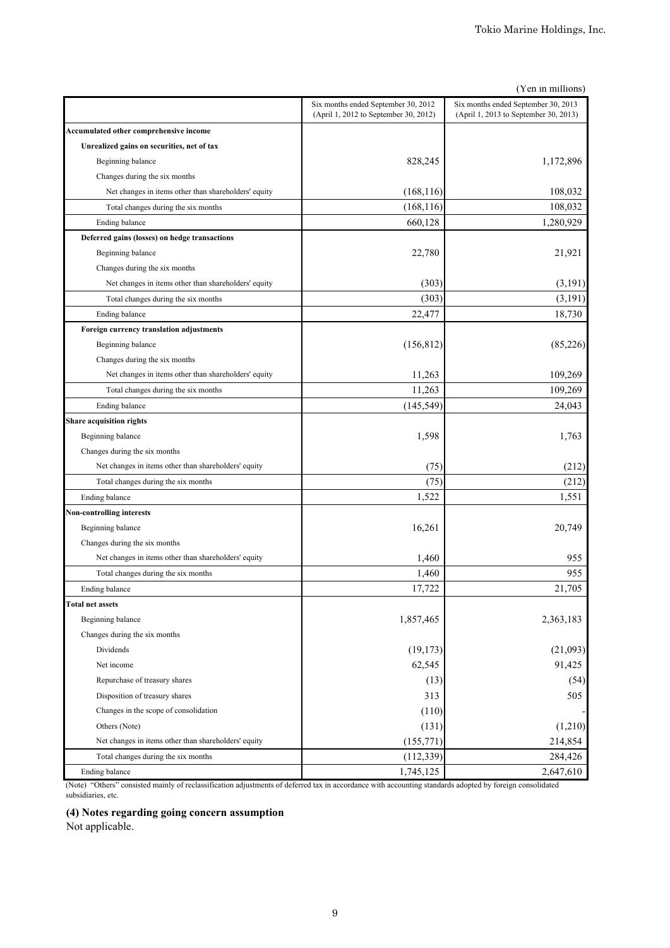| (Yen in millions)                                    |                                                                              |                                                                              |  |  |
|------------------------------------------------------|------------------------------------------------------------------------------|------------------------------------------------------------------------------|--|--|
|                                                      | Six months ended September 30, 2012<br>(April 1, 2012 to September 30, 2012) | Six months ended September 30, 2013<br>(April 1, 2013 to September 30, 2013) |  |  |
| Accumulated other comprehensive income               |                                                                              |                                                                              |  |  |
| Unrealized gains on securities, net of tax           |                                                                              |                                                                              |  |  |
| Beginning balance                                    | 828,245                                                                      | 1,172,896                                                                    |  |  |
| Changes during the six months                        |                                                                              |                                                                              |  |  |
| Net changes in items other than shareholders' equity | (168, 116)                                                                   | 108,032                                                                      |  |  |
| Total changes during the six months                  | (168, 116)                                                                   | 108,032                                                                      |  |  |
| Ending balance                                       | 660,128                                                                      | 1,280,929                                                                    |  |  |
| Deferred gains (losses) on hedge transactions        |                                                                              |                                                                              |  |  |
| Beginning balance                                    | 22,780                                                                       | 21,921                                                                       |  |  |
| Changes during the six months                        |                                                                              |                                                                              |  |  |
| Net changes in items other than shareholders' equity | (303)                                                                        | (3,191)                                                                      |  |  |
| Total changes during the six months                  | (303)                                                                        | (3,191)                                                                      |  |  |
| Ending balance                                       | 22,477                                                                       | 18,730                                                                       |  |  |
| Foreign currency translation adjustments             |                                                                              |                                                                              |  |  |
| Beginning balance                                    | (156, 812)                                                                   | (85,226)                                                                     |  |  |
| Changes during the six months                        |                                                                              |                                                                              |  |  |
| Net changes in items other than shareholders' equity | 11,263                                                                       | 109,269                                                                      |  |  |
| Total changes during the six months                  | 11,263                                                                       | 109,269                                                                      |  |  |
| Ending balance                                       | (145, 549)                                                                   | 24,043                                                                       |  |  |
| <b>Share acquisition rights</b>                      |                                                                              |                                                                              |  |  |
| Beginning balance                                    | 1,598                                                                        | 1,763                                                                        |  |  |
| Changes during the six months                        |                                                                              |                                                                              |  |  |
| Net changes in items other than shareholders' equity | (75)                                                                         | (212)                                                                        |  |  |
| Total changes during the six months                  | (75)                                                                         | (212)                                                                        |  |  |
| Ending balance                                       | 1,522                                                                        | 1,551                                                                        |  |  |
| <b>Non-controlling interests</b>                     |                                                                              |                                                                              |  |  |
| Beginning balance                                    | 16,261                                                                       | 20,749                                                                       |  |  |
| Changes during the six months                        |                                                                              |                                                                              |  |  |
| Net changes in items other than shareholders' equity | 1,460                                                                        | 955                                                                          |  |  |
| Total changes during the six months                  | 1,460                                                                        | 955                                                                          |  |  |
| Ending balance                                       | 17,722                                                                       | 21,705                                                                       |  |  |
| <b>Total net assets</b>                              |                                                                              |                                                                              |  |  |
| Beginning balance                                    | 1,857,465                                                                    | 2,363,183                                                                    |  |  |
| Changes during the six months                        |                                                                              |                                                                              |  |  |
| Dividends                                            | (19, 173)                                                                    | (21,093)                                                                     |  |  |
| Net income                                           | 62,545                                                                       | 91,425                                                                       |  |  |
| Repurchase of treasury shares                        | (13)                                                                         | (54)                                                                         |  |  |
| Disposition of treasury shares                       | 313                                                                          | 505                                                                          |  |  |
| Changes in the scope of consolidation                | (110)                                                                        |                                                                              |  |  |
| Others (Note)                                        | (131)                                                                        | (1,210)                                                                      |  |  |
| Net changes in items other than shareholders' equity | (155, 771)                                                                   | 214,854                                                                      |  |  |
| Total changes during the six months                  | (112, 339)                                                                   | 284,426                                                                      |  |  |
| Ending balance                                       | 1,745,125                                                                    | 2,647,610                                                                    |  |  |

(Note) "Others" consisted mainly of reclassification adjustments of deferred tax in accordance with accounting standards adopted by foreign consolidated subsidiaries, etc.

**(4) Notes regarding going concern assumption**

Not applicable.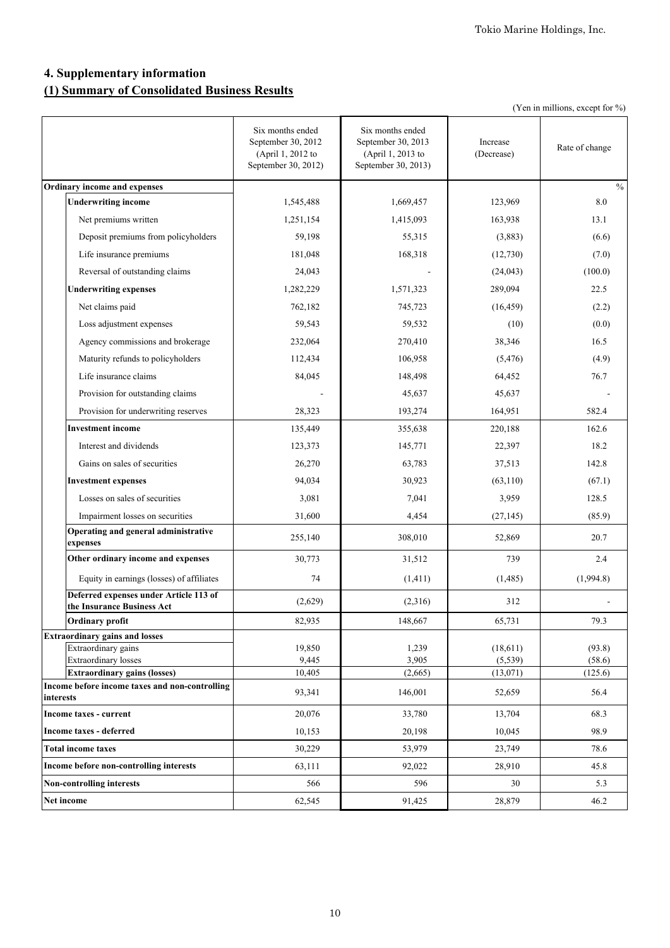# **4. Supplementary information (1) Summary of Consolidated Business Results**

|                                                                      |                                                                                    |                                                                                    |                        | (Yen in millions, except for %) |
|----------------------------------------------------------------------|------------------------------------------------------------------------------------|------------------------------------------------------------------------------------|------------------------|---------------------------------|
|                                                                      | Six months ended<br>September 30, 2012<br>(April 1, 2012 to<br>September 30, 2012) | Six months ended<br>September 30, 2013<br>(April 1, 2013 to<br>September 30, 2013) | Increase<br>(Decrease) | Rate of change                  |
| Ordinary income and expenses                                         |                                                                                    |                                                                                    |                        | $\frac{0}{0}$                   |
| <b>Underwriting income</b>                                           | 1,545,488                                                                          | 1,669,457                                                                          | 123,969                | 8.0                             |
| Net premiums written                                                 | 1,251,154                                                                          | 1,415,093                                                                          | 163,938                | 13.1                            |
| Deposit premiums from policyholders                                  | 59,198                                                                             | 55,315                                                                             | (3,883)                | (6.6)                           |
| Life insurance premiums                                              | 181,048                                                                            | 168,318                                                                            | (12,730)               | (7.0)                           |
| Reversal of outstanding claims                                       | 24,043                                                                             |                                                                                    | (24, 043)              | (100.0)                         |
| <b>Underwriting expenses</b>                                         | 1,282,229                                                                          | 1,571,323                                                                          | 289,094                | 22.5                            |
| Net claims paid                                                      | 762,182                                                                            | 745,723                                                                            | (16, 459)              | (2.2)                           |
| Loss adjustment expenses                                             | 59,543                                                                             | 59,532                                                                             | (10)                   | (0.0)                           |
| Agency commissions and brokerage                                     | 232,064                                                                            | 270,410                                                                            | 38,346                 | 16.5                            |
| Maturity refunds to policyholders                                    | 112,434                                                                            | 106,958                                                                            | (5, 476)               | (4.9)                           |
| Life insurance claims                                                | 84,045                                                                             | 148,498                                                                            | 64,452                 | 76.7                            |
| Provision for outstanding claims                                     |                                                                                    | 45,637                                                                             | 45,637                 |                                 |
| Provision for underwriting reserves                                  | 28,323                                                                             | 193,274                                                                            | 164,951                | 582.4                           |
| Investment income                                                    | 135,449                                                                            | 355,638                                                                            | 220,188                | 162.6                           |
| Interest and dividends                                               | 123,373                                                                            | 145,771                                                                            | 22,397                 | 18.2                            |
| Gains on sales of securities                                         | 26,270                                                                             | 63,783                                                                             | 37,513                 | 142.8                           |
| <b>Investment expenses</b>                                           | 94,034                                                                             | 30,923                                                                             | (63, 110)              | (67.1)                          |
| Losses on sales of securities                                        | 3,081                                                                              | 7,041                                                                              | 3,959                  | 128.5                           |
| Impairment losses on securities                                      | 31,600                                                                             | 4,454                                                                              | (27, 145)              | (85.9)                          |
| Operating and general administrative<br>expenses                     | 255,140                                                                            | 308,010                                                                            | 52,869                 | 20.7                            |
| Other ordinary income and expenses                                   | 30,773                                                                             | 31,512                                                                             | 739                    | 2.4                             |
| Equity in earnings (losses) of affiliates                            | 74                                                                                 | (1, 411)                                                                           | (1, 485)               | (1,994.8)                       |
| Deferred expenses under Article 113 of<br>the Insurance Business Act | (2,629)                                                                            | (2,316)                                                                            | 312                    |                                 |
| Ordinary profit                                                      | 82,935                                                                             | 148,667                                                                            | 65,731                 | 79.3                            |
| <b>Extraordinary gains and losses</b><br>Extraordinary gains         |                                                                                    |                                                                                    |                        |                                 |
| Extraordinary losses                                                 | 19,850<br>9,445                                                                    | 1,239<br>3,905                                                                     | (18,611)<br>(5, 539)   | (93.8)<br>(58.6)                |
| <b>Extraordinary gains (losses)</b>                                  | 10,405                                                                             | (2,665)                                                                            | (13, 071)              | (125.6)                         |
| Income before income taxes and non-controlling<br>interests          | 93,341                                                                             | 146,001                                                                            | 52,659                 | 56.4                            |
| Income taxes - current                                               | 20,076                                                                             | 33,780                                                                             | 13,704                 | 68.3                            |
| <b>Income taxes - deferred</b>                                       | 10,153                                                                             | 20,198                                                                             | 10,045                 | 98.9                            |
| <b>Total income taxes</b>                                            | 30,229                                                                             | 53,979                                                                             | 23,749                 | 78.6                            |
| Income before non-controlling interests                              | 63,111                                                                             | 92,022                                                                             | 28,910                 | 45.8                            |
| Non-controlling interests                                            | 566                                                                                | 596                                                                                | 30                     | 5.3                             |
| Net income                                                           | 62,545                                                                             | 91,425                                                                             | 28,879                 | 46.2                            |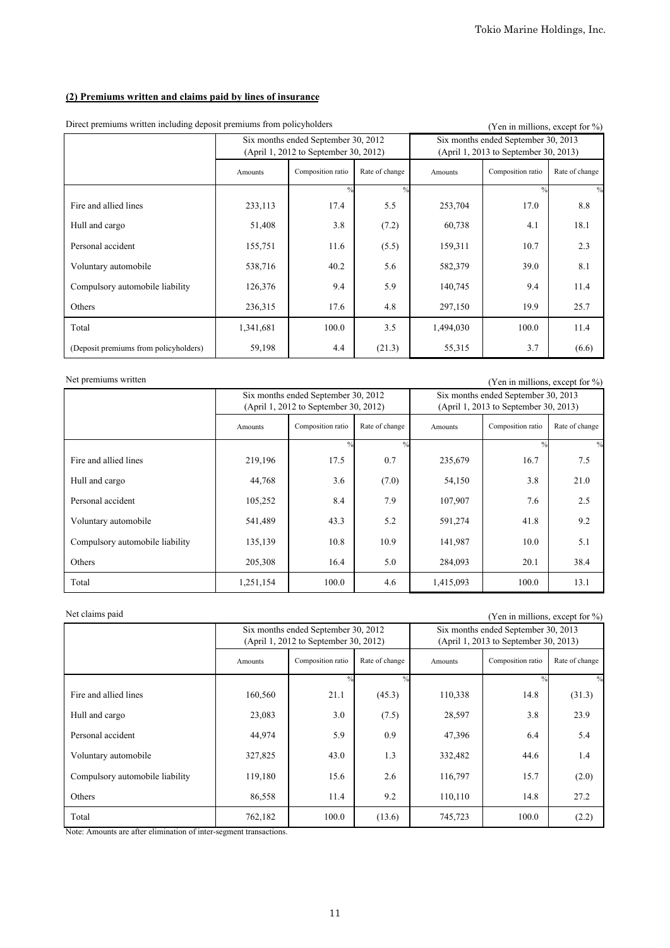# **(2) Premiums written and claims paid by lines of insurance**

| Driver premiums written including deposit premiums from poneyholders |                                                                              |                   |                |           | Y en in millions, except for %)                                              |                |
|----------------------------------------------------------------------|------------------------------------------------------------------------------|-------------------|----------------|-----------|------------------------------------------------------------------------------|----------------|
|                                                                      | Six months ended September 30, 2012<br>(April 1, 2012 to September 30, 2012) |                   |                |           | Six months ended September 30, 2013<br>(April 1, 2013 to September 30, 2013) |                |
|                                                                      | Amounts                                                                      | Composition ratio | Rate of change | Amounts   | Composition ratio                                                            | Rate of change |
|                                                                      |                                                                              | $\frac{0}{0}$     |                |           | $^{0/2}$                                                                     |                |
| Fire and allied lines                                                | 233,113                                                                      | 17.4              | 5.5            | 253,704   | 17.0                                                                         | 8.8            |
| Hull and cargo                                                       | 51,408                                                                       | 3.8               | (7.2)          | 60,738    | 4.1                                                                          | 18.1           |
| Personal accident                                                    | 155,751                                                                      | 11.6              | (5.5)          | 159,311   | 10.7                                                                         | 2.3            |
| Voluntary automobile                                                 | 538,716                                                                      | 40.2              | 5.6            | 582,379   | 39.0                                                                         | 8.1            |
| Compulsory automobile liability                                      | 126,376                                                                      | 9.4               | 5.9            | 140,745   | 9.4                                                                          | 11.4           |
| Others                                                               | 236,315                                                                      | 17.6              | 4.8            | 297,150   | 19.9                                                                         | 25.7           |
| Total                                                                | 1,341,681                                                                    | 100.0             | 3.5            | 1,494,030 | 100.0                                                                        | 11.4           |
| (Deposit premiums from policyholders)                                | 59,198                                                                       | 4.4               | (21.3)         | 55,315    | 3.7                                                                          | (6.6)          |

Direct premiums written including deposit premiums from policyholders (Yen in millions, except for  $\frac{9}{2}$ )

Net premiums written (Yen in millions, except for %)

|                                 | Six months ended September 30, 2012<br>(April 1, 2012 to September 30, 2012) |                   |                |           | Six months ended September 30, 2013<br>(April 1, 2013 to September 30, 2013) |                |
|---------------------------------|------------------------------------------------------------------------------|-------------------|----------------|-----------|------------------------------------------------------------------------------|----------------|
|                                 | Amounts                                                                      | Composition ratio | Rate of change | Amounts   | Composition ratio                                                            | Rate of change |
|                                 |                                                                              | $^{0}/_{0}$       | $^{0/2}$       |           | $^{0/2}$                                                                     | $\frac{0}{0}$  |
| Fire and allied lines           | 219,196                                                                      | 17.5              | 0.7            | 235,679   | 16.7                                                                         | 7.5            |
| Hull and cargo                  | 44,768                                                                       | 3.6               | (7.0)          | 54,150    | 3.8                                                                          | 21.0           |
| Personal accident               | 105,252                                                                      | 8.4               | 7.9            | 107,907   | 7.6                                                                          | 2.5            |
| Voluntary automobile            | 541,489                                                                      | 43.3              | 5.2            | 591,274   | 41.8                                                                         | 9.2            |
| Compulsory automobile liability | 135,139                                                                      | 10.8              | 10.9           | 141,987   | 10.0                                                                         | 5.1            |
| Others                          | 205,308                                                                      | 16.4              | 5.0            | 284,093   | 20.1                                                                         | 38.4           |
| Total                           | 1,251,154                                                                    | 100.0             | 4.6            | 1,415,093 | 100.0                                                                        | 13.1           |

Net claims paid (Yen in millions, except for %)

|                                 | Six months ended September 30, 2012<br>(April 1, 2012 to September 30, 2012) |                   |                |         | Six months ended September 30, 2013<br>(April 1, 2013 to September 30, 2013) |                |
|---------------------------------|------------------------------------------------------------------------------|-------------------|----------------|---------|------------------------------------------------------------------------------|----------------|
|                                 | Amounts                                                                      | Composition ratio | Rate of change | Amounts | Composition ratio                                                            | Rate of change |
|                                 |                                                                              | 0/                |                |         | $\frac{0}{0}$                                                                | $\frac{0}{0}$  |
| Fire and allied lines           | 160,560                                                                      | 21.1              | (45.3)         | 110,338 | 14.8                                                                         | (31.3)         |
| Hull and cargo                  | 23,083                                                                       | 3.0               | (7.5)          | 28,597  | 3.8                                                                          | 23.9           |
| Personal accident               | 44,974                                                                       | 5.9               | 0.9            | 47,396  | 6.4                                                                          | 5.4            |
| Voluntary automobile            | 327,825                                                                      | 43.0              | 1.3            | 332,482 | 44.6                                                                         | 1.4            |
| Compulsory automobile liability | 119,180                                                                      | 15.6              | 2.6            | 116,797 | 15.7                                                                         | (2.0)          |
| Others                          | 86,558                                                                       | 11.4              | 9.2            | 110,110 | 14.8                                                                         | 27.2           |
| Total                           | 762,182                                                                      | 100.0             | (13.6)         | 745,723 | 100.0                                                                        | (2.2)          |

Note: Amounts are after elimination of inter-segment transactions.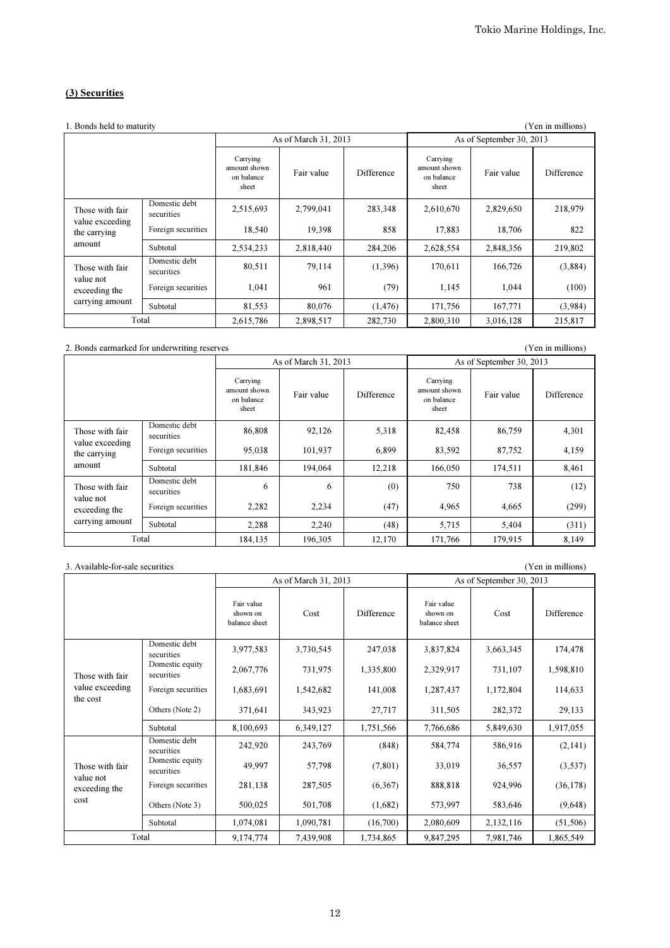# (3) Securities

| 1. Bonds held to maturity       |                             |                                                 |                      |                   |                                                 |                          | (Yen in millions) |
|---------------------------------|-----------------------------|-------------------------------------------------|----------------------|-------------------|-------------------------------------------------|--------------------------|-------------------|
|                                 |                             |                                                 | As of March 31, 2013 |                   |                                                 | As of September 30, 2013 |                   |
|                                 |                             | Carrying<br>amount shown<br>on balance<br>sheet | Fair value           | <b>Difference</b> | Carrying<br>amount shown<br>on balance<br>sheet | Fair value               | Difference        |
| Those with fair                 | Domestic debt<br>securities | 2,515,693                                       | 2,799,041            | 283,348           | 2,610,670                                       | 2,829,650                | 218,979           |
| value exceeding<br>the carrying | Foreign securities          | 18,540                                          | 19,398               | 858               | 17,883                                          | 18,706                   | 822               |
| amount                          | Subtotal                    | 2,534,233                                       | 2,818,440            | 284,206           | 2,628,554                                       | 2,848,356                | 219,802           |
| Those with fair                 | Domestic debt<br>securities | 80,511                                          | 79,114               | (1,396)           | 170,611                                         | 166,726                  | (3,884)           |
| value not<br>exceeding the      | Foreign securities          | 1,041                                           | 961                  | (79)              | 1,145                                           | 1,044                    | (100)             |
| carrying amount                 | Subtotal                    | 81,553                                          | 80,076               | (1, 476)          | 171,756                                         | 167,771                  | (3,984)           |
| Total                           |                             | 2,615,786                                       | 2,898,517            | 282,730           | 2,800,310                                       | 3,016,128                | 215,817           |

#### 2. Bonds earmarked for underwriting reserves (Yen in millions)

Carrying amount shown on balance sheet Fair value Difference Carrying amount shown on balance sheet Fair value | Difference Domestic debt securities 186,808 92,126 5,318 82,458 86,759 4,301 Foreign securities | 95,038 | 101,937 | 6,899 83,592 87,752 | 4,159 Subtotal 181,846 194,064 12,218 166,050 174,511 8,461 Domestic debt securities <sup>6</sup> <sup>6</sup> (0) <sup>750</sup> <sup>738</sup> (12) Foreign securities 2,282 2,234 (47) 4,965 4,665 (299) Subtotal 2,288 2,240 (48) 5,715 5,404 (311) 184,135 196,305 12,170 171,766 179,915 8,149 As of March 31, 2013 As of September 30, 2013 Those with fair value exceeding the carrying amount Those with fair value not exceeding the carrying amount Total

#### 3. Available-for-sale securities (Yen in millions) Fair value shown on balance sheet Cost Difference Fair value shown on balance sheet Cost Difference Domestic debt securities 3,977,583 3,730,545 247,038 3,837,824 3,663,345 174,478 Domestic equity securities 2,067,776 731,975 1,335,800 2,329,917 731,107 1,598,810 Foreign securities 1,683,691 1,542,682 141,008 1,287,437 1,172,804 114,633 Others (Note 2) 371,641 343,923 27,717 311,505 282,372 29,133 Subtotal 8,100,693 6,349,127 1,751,566 7,766,686 5,849,630 1,917,055 Domestic debt securities 242,920 243,769 (848) 584,774 586,916 (2,141) Domestic equity securities 49,997 57,798 (7,801) 33,019 36,557 (3,537) Foreign securities 281,138 287,505 (6,367) 888,818 924,996 (36,178) Others (Note 3) 500,025 501,708 (1,682) 573,997 583,646 (9,648) Subtotal 1,074,081 1,090,781 (16,700) 2,080,609 2,132,116 (51,506) Total 9,174,774 7,439,908 1,734,865 9,847,295 7,981,746 1,865,549 As of September 30, 2013 Those with fair value exceeding the cost Those with fair value not exceeding the cost As of March 31, 2013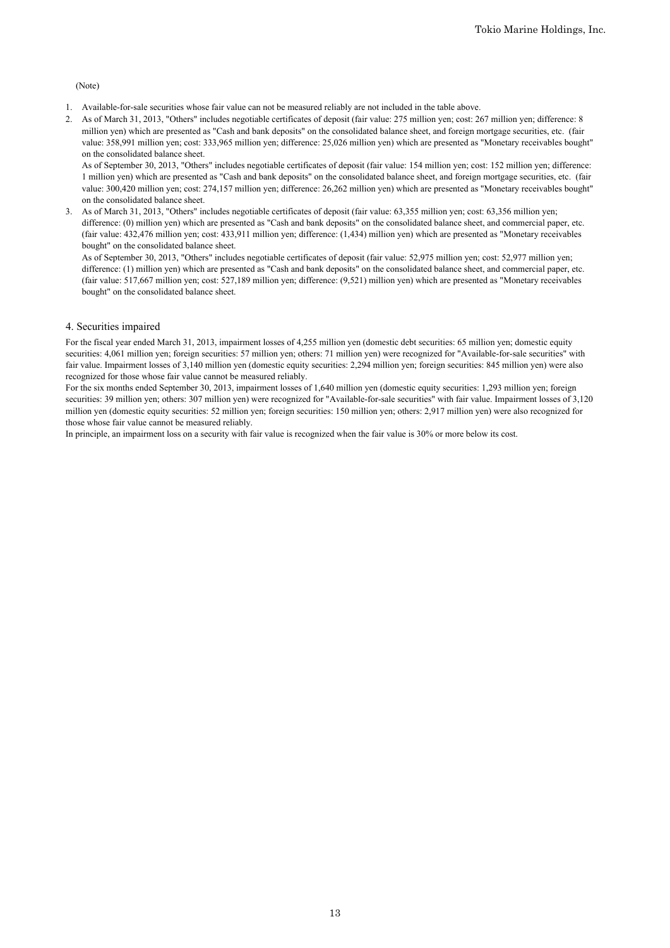### (Note)

- 1. Available-for-sale securities whose fair value can not be measured reliably are not included in the table above.
- 2. As of March 31, 2013, "Others" includes negotiable certificates of deposit (fair value: 275 million yen; cost: 267 million yen; difference: 8 million yen) which are presented as "Cash and bank deposits" on the consolidated balance sheet, and foreign mortgage securities, etc. (fair value: 358,991 million yen; cost: 333,965 million yen; difference: 25,026 million yen) which are presented as "Monetary receivables bought" on the consolidated balance sheet.

As of September 30, 2013, "Others" includes negotiable certificates of deposit (fair value: 154 million yen; cost: 152 million yen; difference: 1 million yen) which are presented as "Cash and bank deposits" on the consolidated balance sheet, and foreign mortgage securities, etc. (fair value: 300,420 million yen; cost: 274,157 million yen; difference: 26,262 million yen) which are presented as "Monetary receivables bought" on the consolidated balance sheet.

3. As of March 31, 2013, "Others" includes negotiable certificates of deposit (fair value: 63,355 million yen; cost: 63,356 million yen; difference: (0) million yen) which are presented as "Cash and bank deposits" on the consolidated balance sheet, and commercial paper, etc. (fair value: 432,476 million yen; cost: 433,911 million yen; difference: (1,434) million yen) which are presented as "Monetary receivables bought" on the consolidated balance sheet.

As of September 30, 2013, "Others" includes negotiable certificates of deposit (fair value: 52,975 million yen; cost: 52,977 million yen; difference: (1) million yen) which are presented as "Cash and bank deposits" on the consolidated balance sheet, and commercial paper, etc. (fair value: 517,667 million yen; cost: 527,189 million yen; difference: (9,521) million yen) which are presented as "Monetary receivables bought" on the consolidated balance sheet.

## 4. Securities impaired

For the fiscal year ended March 31, 2013, impairment losses of 4,255 million yen (domestic debt securities: 65 million yen; domestic equity securities: 4,061 million yen; foreign securities: 57 million yen; others: 71 million yen) were recognized for "Available-for-sale securities" with fair value. Impairment losses of 3,140 million yen (domestic equity securities: 2,294 million yen; foreign securities: 845 million yen) were also recognized for those whose fair value cannot be measured reliably.

For the six months ended September 30, 2013, impairment losses of 1,640 million yen (domestic equity securities: 1,293 million yen; foreign securities: 39 million yen; others: 307 million yen) were recognized for "Available-for-sale securities" with fair value. Impairment losses of 3,120 million yen (domestic equity securities: 52 million yen; foreign securities: 150 million yen; others: 2,917 million yen) were also recognized for those whose fair value cannot be measured reliably.

In principle, an impairment loss on a security with fair value is recognized when the fair value is 30% or more below its cost.